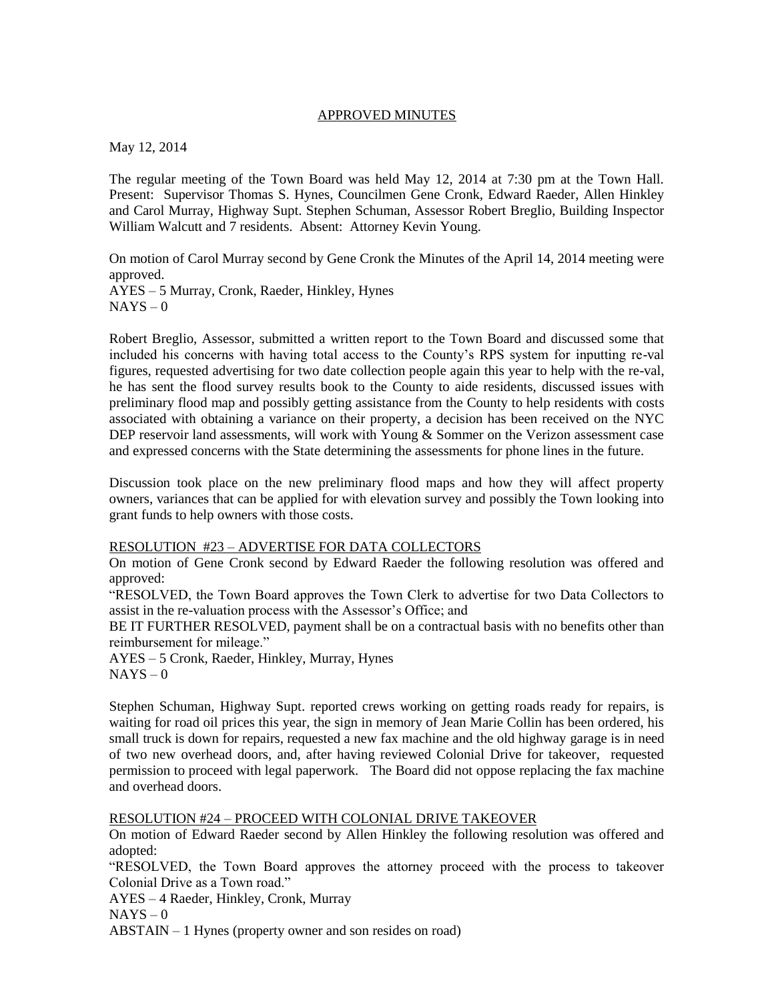## APPROVED MINUTES

May 12, 2014

The regular meeting of the Town Board was held May 12, 2014 at 7:30 pm at the Town Hall. Present: Supervisor Thomas S. Hynes, Councilmen Gene Cronk, Edward Raeder, Allen Hinkley and Carol Murray, Highway Supt. Stephen Schuman, Assessor Robert Breglio, Building Inspector William Walcutt and 7 residents. Absent: Attorney Kevin Young.

On motion of Carol Murray second by Gene Cronk the Minutes of the April 14, 2014 meeting were approved.

AYES – 5 Murray, Cronk, Raeder, Hinkley, Hynes  $NAYS - 0$ 

Robert Breglio, Assessor, submitted a written report to the Town Board and discussed some that included his concerns with having total access to the County's RPS system for inputting re-val figures, requested advertising for two date collection people again this year to help with the re-val, he has sent the flood survey results book to the County to aide residents, discussed issues with preliminary flood map and possibly getting assistance from the County to help residents with costs associated with obtaining a variance on their property, a decision has been received on the NYC DEP reservoir land assessments, will work with Young & Sommer on the Verizon assessment case and expressed concerns with the State determining the assessments for phone lines in the future.

Discussion took place on the new preliminary flood maps and how they will affect property owners, variances that can be applied for with elevation survey and possibly the Town looking into grant funds to help owners with those costs.

## RESOLUTION #23 – ADVERTISE FOR DATA COLLECTORS

On motion of Gene Cronk second by Edward Raeder the following resolution was offered and approved:

"RESOLVED, the Town Board approves the Town Clerk to advertise for two Data Collectors to assist in the re-valuation process with the Assessor's Office; and

BE IT FURTHER RESOLVED, payment shall be on a contractual basis with no benefits other than reimbursement for mileage."

AYES – 5 Cronk, Raeder, Hinkley, Murray, Hynes  $NAYS - 0$ 

Stephen Schuman, Highway Supt. reported crews working on getting roads ready for repairs, is waiting for road oil prices this year, the sign in memory of Jean Marie Collin has been ordered, his small truck is down for repairs, requested a new fax machine and the old highway garage is in need of two new overhead doors, and, after having reviewed Colonial Drive for takeover, requested permission to proceed with legal paperwork. The Board did not oppose replacing the fax machine and overhead doors.

## RESOLUTION #24 – PROCEED WITH COLONIAL DRIVE TAKEOVER

On motion of Edward Raeder second by Allen Hinkley the following resolution was offered and adopted:

"RESOLVED, the Town Board approves the attorney proceed with the process to takeover Colonial Drive as a Town road."

AYES – 4 Raeder, Hinkley, Cronk, Murray

 $NAYS - 0$ 

ABSTAIN – 1 Hynes (property owner and son resides on road)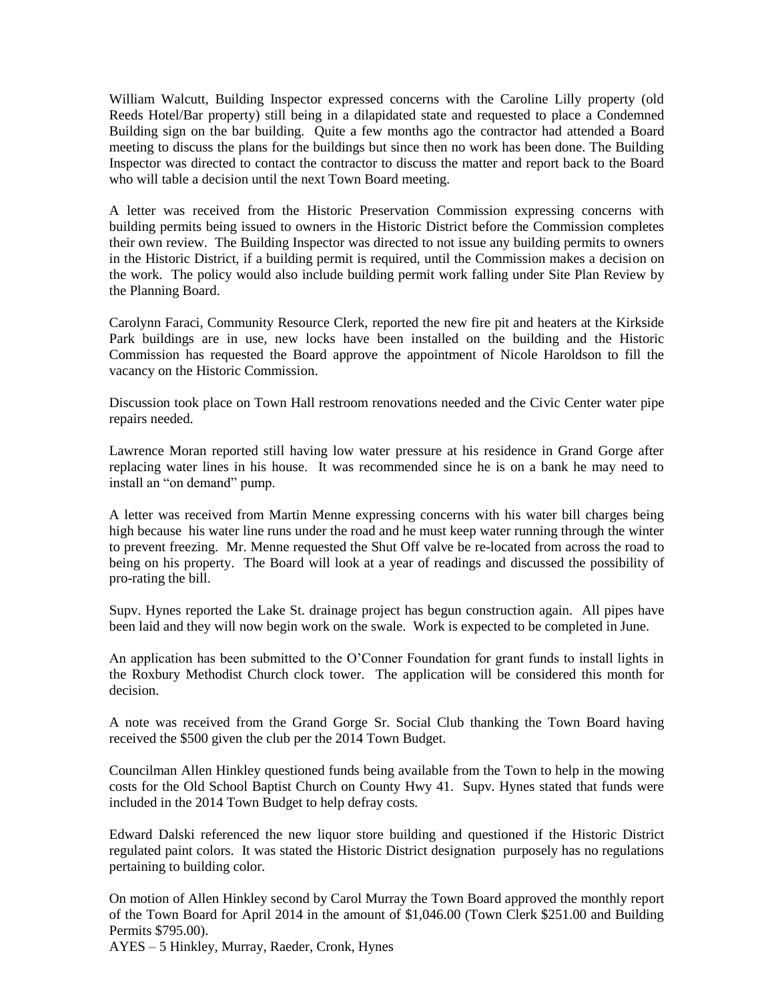William Walcutt, Building Inspector expressed concerns with the Caroline Lilly property (old Reeds Hotel/Bar property) still being in a dilapidated state and requested to place a Condemned Building sign on the bar building. Quite a few months ago the contractor had attended a Board meeting to discuss the plans for the buildings but since then no work has been done. The Building Inspector was directed to contact the contractor to discuss the matter and report back to the Board who will table a decision until the next Town Board meeting.

A letter was received from the Historic Preservation Commission expressing concerns with building permits being issued to owners in the Historic District before the Commission completes their own review. The Building Inspector was directed to not issue any building permits to owners in the Historic District, if a building permit is required, until the Commission makes a decision on the work. The policy would also include building permit work falling under Site Plan Review by the Planning Board.

Carolynn Faraci, Community Resource Clerk, reported the new fire pit and heaters at the Kirkside Park buildings are in use, new locks have been installed on the building and the Historic Commission has requested the Board approve the appointment of Nicole Haroldson to fill the vacancy on the Historic Commission.

Discussion took place on Town Hall restroom renovations needed and the Civic Center water pipe repairs needed.

Lawrence Moran reported still having low water pressure at his residence in Grand Gorge after replacing water lines in his house. It was recommended since he is on a bank he may need to install an "on demand" pump.

A letter was received from Martin Menne expressing concerns with his water bill charges being high because his water line runs under the road and he must keep water running through the winter to prevent freezing. Mr. Menne requested the Shut Off valve be re-located from across the road to being on his property. The Board will look at a year of readings and discussed the possibility of pro-rating the bill.

Supv. Hynes reported the Lake St. drainage project has begun construction again. All pipes have been laid and they will now begin work on the swale. Work is expected to be completed in June.

An application has been submitted to the O'Conner Foundation for grant funds to install lights in the Roxbury Methodist Church clock tower. The application will be considered this month for decision.

A note was received from the Grand Gorge Sr. Social Club thanking the Town Board having received the \$500 given the club per the 2014 Town Budget.

Councilman Allen Hinkley questioned funds being available from the Town to help in the mowing costs for the Old School Baptist Church on County Hwy 41. Supv. Hynes stated that funds were included in the 2014 Town Budget to help defray costs.

Edward Dalski referenced the new liquor store building and questioned if the Historic District regulated paint colors. It was stated the Historic District designation purposely has no regulations pertaining to building color.

On motion of Allen Hinkley second by Carol Murray the Town Board approved the monthly report of the Town Board for April 2014 in the amount of \$1,046.00 (Town Clerk \$251.00 and Building Permits \$795.00).

AYES – 5 Hinkley, Murray, Raeder, Cronk, Hynes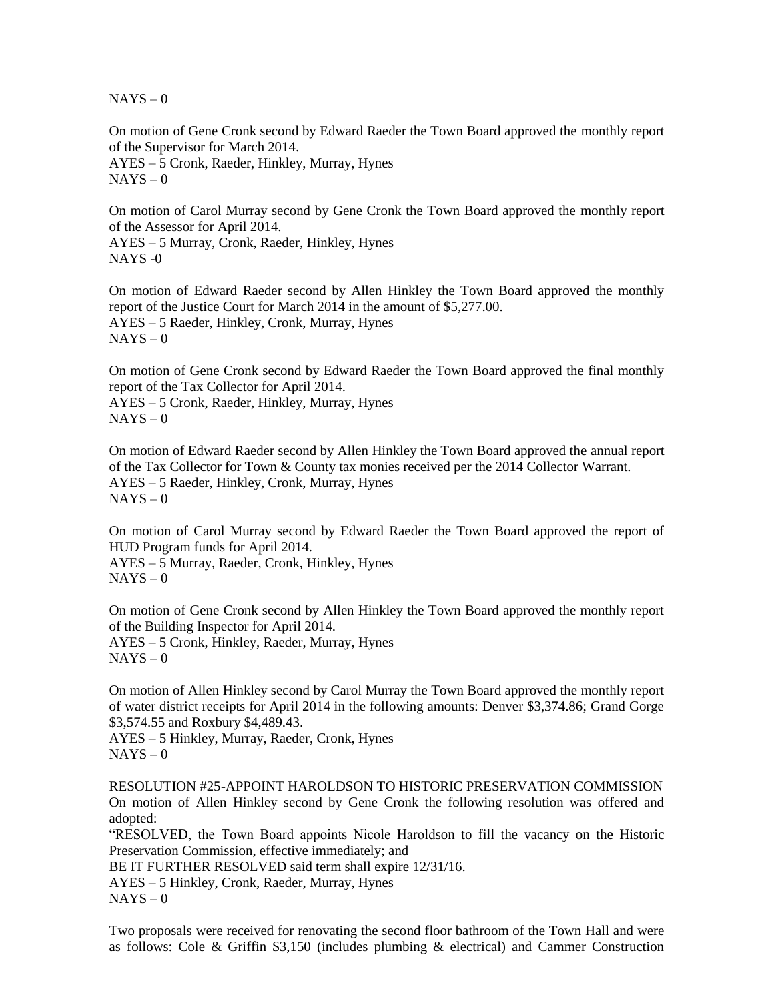$NAYS - 0$ 

On motion of Gene Cronk second by Edward Raeder the Town Board approved the monthly report of the Supervisor for March 2014.

AYES – 5 Cronk, Raeder, Hinkley, Murray, Hynes  $NAYS - 0$ 

On motion of Carol Murray second by Gene Cronk the Town Board approved the monthly report of the Assessor for April 2014.

AYES – 5 Murray, Cronk, Raeder, Hinkley, Hynes NAYS -0

On motion of Edward Raeder second by Allen Hinkley the Town Board approved the monthly report of the Justice Court for March 2014 in the amount of \$5,277.00. AYES – 5 Raeder, Hinkley, Cronk, Murray, Hynes  $NAYS - 0$ 

On motion of Gene Cronk second by Edward Raeder the Town Board approved the final monthly report of the Tax Collector for April 2014.

AYES – 5 Cronk, Raeder, Hinkley, Murray, Hynes  $NAYS - 0$ 

On motion of Edward Raeder second by Allen Hinkley the Town Board approved the annual report of the Tax Collector for Town & County tax monies received per the 2014 Collector Warrant. AYES – 5 Raeder, Hinkley, Cronk, Murray, Hynes  $NAYS - 0$ 

On motion of Carol Murray second by Edward Raeder the Town Board approved the report of HUD Program funds for April 2014.

AYES – 5 Murray, Raeder, Cronk, Hinkley, Hynes  $NAYS - 0$ 

On motion of Gene Cronk second by Allen Hinkley the Town Board approved the monthly report of the Building Inspector for April 2014.

AYES – 5 Cronk, Hinkley, Raeder, Murray, Hynes  $NAYS - 0$ 

On motion of Allen Hinkley second by Carol Murray the Town Board approved the monthly report of water district receipts for April 2014 in the following amounts: Denver \$3,374.86; Grand Gorge \$3,574.55 and Roxbury \$4,489.43.

AYES – 5 Hinkley, Murray, Raeder, Cronk, Hynes  $NAYS - 0$ 

RESOLUTION #25-APPOINT HAROLDSON TO HISTORIC PRESERVATION COMMISSION On motion of Allen Hinkley second by Gene Cronk the following resolution was offered and adopted:

"RESOLVED, the Town Board appoints Nicole Haroldson to fill the vacancy on the Historic Preservation Commission, effective immediately; and

BE IT FURTHER RESOLVED said term shall expire 12/31/16.

AYES – 5 Hinkley, Cronk, Raeder, Murray, Hynes

 $NAYS - 0$ 

Two proposals were received for renovating the second floor bathroom of the Town Hall and were as follows: Cole & Griffin \$3,150 (includes plumbing & electrical) and Cammer Construction